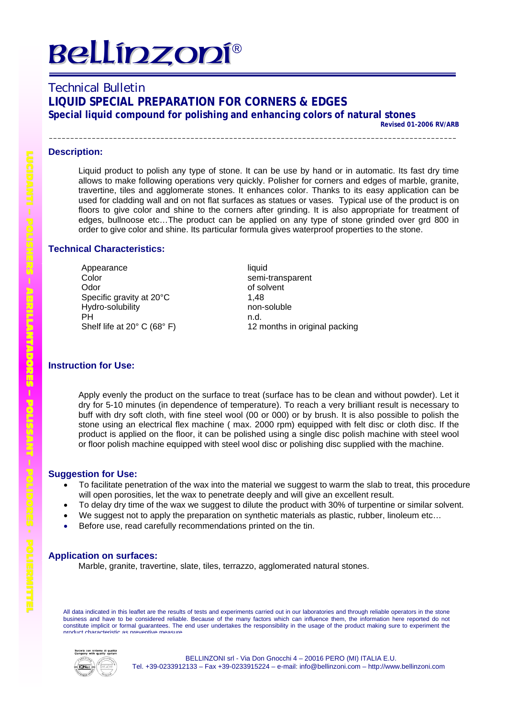# **Bellipzopí®**

# Technical Bulletin **LIQUID SPECIAL PREPARATION FOR CORNERS & EDGES Special liquid compound for polishing and enhancing colors of natural stones**

**Revised 01-2006 RV/ARB**

\_\_\_\_\_\_\_\_\_\_\_\_\_\_\_\_\_\_\_\_\_\_\_\_\_\_\_\_\_\_\_

### **Description:**

Liquid product to polish any type of stone. It can be use by hand or in automatic. Its fast dry time allows to make following operations very quickly. Polisher for corners and edges of marble, granite, travertine, tiles and agglomerate stones. It enhances color. Thanks to its easy application can be used for cladding wall and on not flat surfaces as statues or vases. Typical use of the product is on floors to give color and shine to the corners after grinding. It is also appropriate for treatment of edges, bullnoose etc…The product can be applied on any type of stone grinded over grd 800 in order to give color and shine. Its particular formula gives waterproof properties to the stone.

### **Technical Characteristics:**

Appearance liquid Color semi-transparent Odor of solvent Specific gravity at 20°C 1,48 Hydro-solubility non-soluble PH Shelf life at 20° C (68° F)

n.d. 12 months in original packing

### **Instruction for Use:**

Apply evenly the product on the surface to treat (surface has to be clean and without powder). Let it dry for 5-10 minutes (in dependence of temperature). To reach a very brilliant result is necessary to buff with dry soft cloth, with fine steel wool (00 or 000) or by brush. It is also possible to polish the stone using an electrical flex machine ( max. 2000 rpm) equipped with felt disc or cloth disc. If the product is applied on the floor, it can be polished using a single disc polish machine with steel wool or floor polish machine equipped with steel wool disc or polishing disc supplied with the machine.

### **Suggestion for Use:**

- To facilitate penetration of the wax into the material we suggest to warm the slab to treat, this procedure will open porosities, let the wax to penetrate deeply and will give an excellent result.
- To delay dry time of the wax we suggest to dilute the product with 30% of turpentine or similar solvent.
- We suggest not to apply the preparation on synthetic materials as plastic, rubber, linoleum etc...
- Before use, read carefully recommendations printed on the tin.

### **Application on surfaces:**

Marble, granite, travertine, slate, tiles, terrazzo, agglomerated natural stones.

All data indicated in this leaflet are the results of tests and experiments carried out in our laboratories and through reliable operators in the stone business and have to be considered reliable. Because of the many factors which can influence them, the information here reported do not constitute implicit or formal guarantees. The end user undertakes the responsibility in the usage of the product making sure to experiment the product characteristic as preventive measure



L